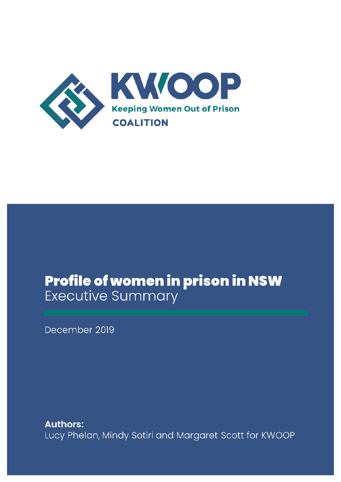

# Profile of women in prison in NSW **Executive Summary**

December 2019

**Authors:** Lucy Phelan, Mindy Sotiri and Margaret Scott for KWOOP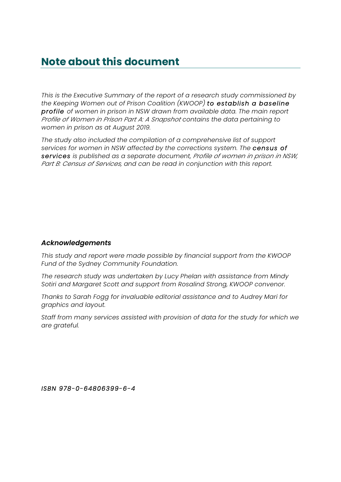# **Note about this document**

*This is the Executive Summary of the report of a research study commissioned by the Keeping Women out of Prison Coalition (KWOOP) to establish a baseline profile of women in prison in NSW drawn from available data. The main report Profile of Women in Prison Part A: A Snapshot contains the data pertaining to women in prison as at August 2019.*

*The study also included the compilation of a comprehensive list of support services for women in NSW affected by the corrections system. The census of services is published as a separate document, Profile of women in prison in NSW, Part B: Census of Services, and can be read in conjunction with this report.*

#### *Acknowledgements*

*This study and report were made possible by financial support from the KWOOP Fund of the Sydney Community Foundation.*

*The research study was undertaken by Lucy Phelan with assistance from Mindy Sotiri and Margaret Scott and support from Rosalind Strong, KWOOP convenor.*

*Thanks to Sarah Fogg for invaluable editorial assistance and to Audrey Mari for graphics and layout.* 

*Staff from many services assisted with provision of data for the study for which we are grateful.* 

*ISBN 978-0-64806399-6-4*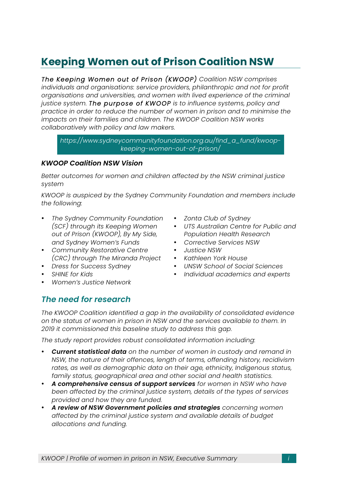# **Keeping Women out of Prison Coalition NSW**

*The Keeping Women out of Prison (KWOOP) Coalition NSW comprises individuals and organisations: service providers, philanthropic and not for profit organisations and universities, and women with lived experience of the criminal justice system. The purpose of KWOOP is to influence systems, policy and practice in order to reduce the number of women in prison and to minimise the impacts on their families and children. The KWOOP Coalition NSW works collaboratively with policy and law makers.*

*https://www.sydneycommunityfoundation.org.au/find\_a\_fund/kwoopkeeping-women-out-of-prison/*

#### *KWOOP Coalition NSW Vision*

*Better outcomes for women and children affected by the NSW criminal justice system*

*KWOOP is auspiced by the Sydney Community Foundation and members include the following:*

- *The Sydney Community Foundation (SCF) through its Keeping Women out of Prison (KWOOP), By My Side, and Sydney Women's Funds*
- *Community Restorative Centre (CRC) through The Miranda Project*
- *Dress for Success Sydney*
- *SHINE for Kids*
- *Women's Justice Network*
- *Zonta Club of Sydney*
- *UTS Australian Centre for Public and Population Health Research*
- *Corrective Services NSW*
- *Justice NSW*
- *Kathleen York House*
- *UNSW School of Social Sciences*
- *Individual academics and experts*

## *The need for research*

*The KWOOP Coalition identified a gap in the availability of consolidated evidence on the status of women in prison in NSW and the services available to them. In 2019 it commissioned this baseline study to address this gap.* 

*The study report provides robust consolidated information including:* 

- *Current statistical data on the number of women in custody and remand in NSW, the nature of their offences, length of terms, offending history, recidivism rates, as well as demographic data on their age, ethnicity, Indigenous status, family status, geographical area and other social and health statistics.*
- *A comprehensive census of support services for women in NSW who have been affected by the criminal justice system, details of the types of services provided and how they are funded.*
- *A review of NSW Government policies and strategies concerning women affected by the criminal justice system and available details of budget allocations and funding.*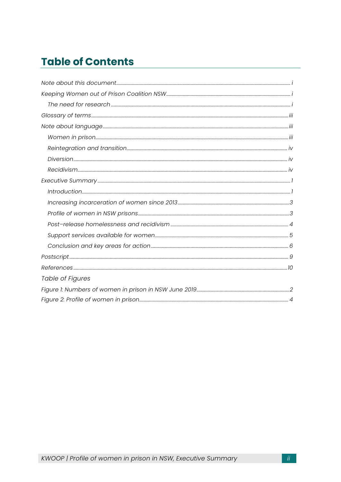# **Table of Contents**

| Table of Figures |  |
|------------------|--|
|                  |  |
|                  |  |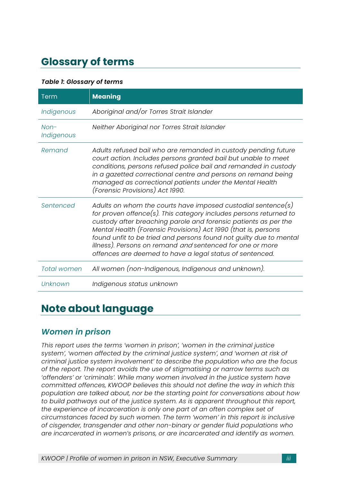# **Glossary of terms**

#### *Table 1: Glossary of terms*

| Term                 | <b>Meaning</b>                                                                                                                                                                                                                                                                                                                                                                                                                                                        |
|----------------------|-----------------------------------------------------------------------------------------------------------------------------------------------------------------------------------------------------------------------------------------------------------------------------------------------------------------------------------------------------------------------------------------------------------------------------------------------------------------------|
| Indigenous           | Aboriginal and/or Torres Strait Islander                                                                                                                                                                                                                                                                                                                                                                                                                              |
| $Non-$<br>Indigenous | Neither Aboriginal nor Torres Strait Islander                                                                                                                                                                                                                                                                                                                                                                                                                         |
| Remand               | Adults refused bail who are remanded in custody pending future<br>court action. Includes persons granted bail but unable to meet<br>conditions, persons refused police bail and remanded in custody<br>in a gazetted correctional centre and persons on remand being<br>managed as correctional patients under the Mental Health<br>(Forensic Provisions) Act 1990.                                                                                                   |
| Sentenced            | Adults on whom the courts have imposed custodial sentence(s)<br>for proven offence(s). This category includes persons returned to<br>custody after breaching parole and forensic patients as per the<br>Mental Health (Forensic Provisions) Act 1990 (that is, persons<br>found unfit to be tried and persons found not guilty due to mental<br>illness). Persons on remand and sentenced for one or more<br>offences are deemed to have a legal status of sentenced. |
| <b>Total women</b>   | All women (non-Indigenous, Indigenous and unknown).                                                                                                                                                                                                                                                                                                                                                                                                                   |
| Unknown              | Indigenous status unknown                                                                                                                                                                                                                                                                                                                                                                                                                                             |

## **Note about language**

## *Women in prison*

*This report uses the terms 'women in prison', 'women in the criminal justice system', 'women affected by the criminal justice system', and 'women at risk of criminal justice system involvement' to describe the population who are the focus of the report. The report avoids the use of stigmatising or narrow terms such as 'offenders' or 'criminals'. While many women involved in the justice system have committed offences, KWOOP believes this should not define the way in which this population are talked about, nor be the starting point for conversations about how to build pathways out of the justice system. As is apparent throughout this report, the experience of incarceration is only one part of an often complex set of circumstances faced by such women. The term 'women' in this report is inclusive of cisgender, transgender and other non-binary or gender fluid populations who are incarcerated in women's prisons, or are incarcerated and identify as women.*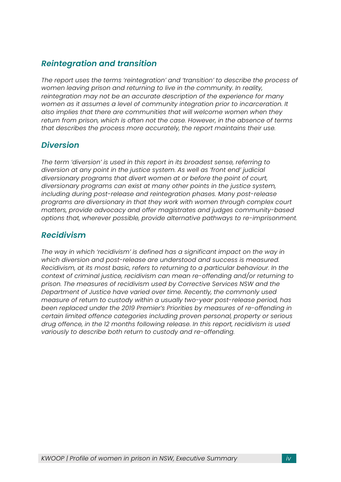## *Reintegration and transition*

*The report uses the terms 'reintegration' and 'transition' to describe the process of women leaving prison and returning to live in the community. In reality, reintegration may not be an accurate description of the experience for many women as it assumes a level of community integration prior to incarceration. It also implies that there are communities that will welcome women when they return from prison, which is often not the case. However, in the absence of terms that describes the process more accurately, the report maintains their use.*

## *Diversion*

*The term 'diversion' is used in this report in its broadest sense, referring to diversion at any point in the justice system. As well as 'front end' judicial diversionary programs that divert women at or before the point of court, diversionary programs can exist at many other points in the justice system, including during post-release and reintegration phases. Many post-release programs are diversionary in that they work with women through complex court matters, provide advocacy and offer magistrates and judges community-based options that, wherever possible, provide alternative pathways to re-imprisonment.*

## *Recidivism*

*The way in which 'recidivism' is defined has a significant impact on the way in which diversion and post-release are understood and success is measured. Recidivism, at its most basic, refers to returning to a particular behaviour. In the context of criminal justice, recidivism can mean re-offending and/or returning to prison. The measures of recidivism used by Corrective Services NSW and the Department of Justice have varied over time. Recently, the commonly used measure of return to custody within a usually two-year post-release period, has been replaced under the 2019 Premier's Priorities by measures of re-offending in certain limited offence categories including proven personal, property or serious drug offence, in the 12 months following release. In this report, recidivism is used variously to describe both return to custody and re-offending.*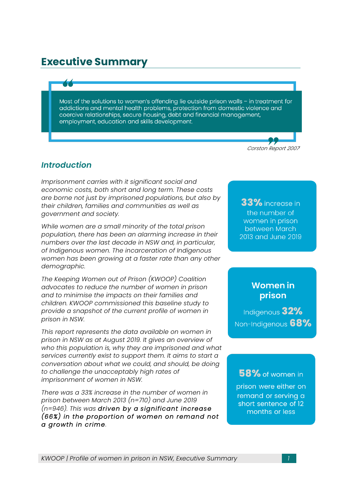# **Executive Summary**

Most of the solutions to women's offending lie outside prison walls - in treatment for addictions and mental health problems, protection from domestic violence and coercive relationships, secure housing, debt and financial management, employment, education and skills development.

*Corston Report 2007i*

## *Introduction*

*Imprisonment carries with it significant social and economic costs, both short and long term. These costs are borne not just by imprisoned populations, but also by their children, families and communities as well as government and society.*

*While women are a small minority of the total prison population, there has been an alarming increase in their numbers over the last decade in NSW and, in particular, of Indigenous women. The incarceration of Indigenous women has been growing at a faster rate than any other demographic.* 

*The Keeping Women out of Prison (KWOOP) Coalition advocates to reduce the number of women in prison and to minimise the impacts on their families and children. KWOOP commissioned this baseline study to provide a snapshot of the current profile of women in prison in NSW.*

*This report represents the data available on women in prison in NSW as at August 2019. It gives an overview of who this population is, why they are imprisoned and what services currently exist to support them. It aims to start a conversation about what we could, and should, be doing to challenge the unacceptably high rates of imprisonment of women in NSW.* 

*There was a 33% increase in the number of women in prison between March 2013 (n=710) and June 2019 (n=946). This was driven by a significant increase (66%) in the proportion of women on remand not a growth in crime.*

33% increase in the number of women in prison between March 2013 and June 2019

## **Women in** prison

Indigenous 32% Non-Indigenous 68%

58% of women in

prison were either on remand or serving a short sentence of 12 months or less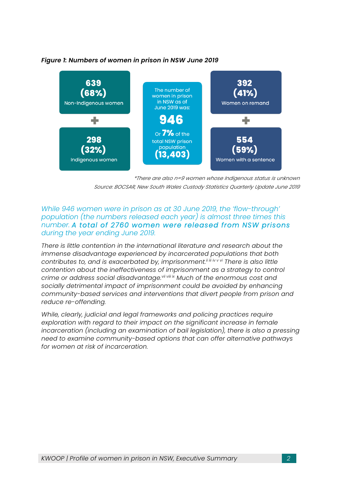

#### *Figure 1: Numbers of women in prison in NSW June 2019*

*\*There are also n=9 women whose Indigenous status is unknown Source: BOCSAR, New South Wales Custody Statistics Quarterly Update June 2019*

#### *While 946 women were in prison as at 30 June 2019, the 'flow-through' population (the numbers released each year) is almost three times this number. A total of 2760 women were released from NSW prisons during the year ending June 2019.*

*There is little contention in the international literature and research about the immense disadvantage experienced by incarcerated populations that both contributes to, and is exacerbated by, imprisonment.<sup>iiiii</sup> <i>iv v*<sup>*ii*</sup> *There is also little contention about the ineffectiveness of imprisonment as a strategy to control crime or address social disadvantage.vii viii ix Much of the enormous cost and socially detrimental impact of imprisonment could be avoided by enhancing community-based services and interventions that divert people from prison and reduce re-offending.* 

*While, clearly, judicial and legal frameworks and policing practices require exploration with regard to their impact on the significant increase in female incarceration (including an examination of bail legislation), there is also a pressing need to examine community-based options that can offer alternative pathways for women at risk of incarceration.*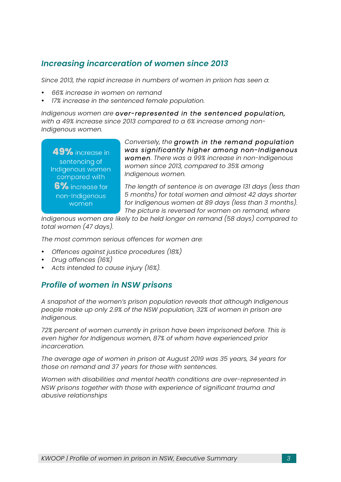## *Increasing incarceration of women since 2013*

*Since 2013, the rapid increase in numbers of women in prison has seen a:* 

- *66% increase in women on remand*
- *17% increase in the sentenced female population.*

*Indigenous women are over-represented in the sentenced population, with a 49% increase since 2013 compared to a 6% increase among non-Indigenous women.* 

49% increase in sentencing of Indigenous women compared with 6% increase for non-Indigenous women

*Conversely, the growth in the remand population was significantly higher among non-Indigenous women. There was a 99% increase in non-Indigenous women since 2013, compared to 35% among Indigenous women.*

*The length of sentence is on average 131 days (less than 5 months) for total women and almost 42 days shorter for Indigenous women at 89 days (less than 3 months). The picture is reversed for women on remand, where* 

*Indigenous women are likely to be held longer on remand (58 days) compared to total women (47 days).*

*The most common serious offences for women are:*

- *Offences against justice procedures (18%)*
- *Drug offences (16%)*
- *Acts intended to cause injury (16%).*

## *Profile of women in NSW prisons*

*A snapshot of the women's prison population reveals that although Indigenous people make up only 2.9% of the NSW population, 32% of women in prison are Indigenous.*

*72% percent of women currently in prison have been imprisoned before. This is even higher for Indigenous women, 87% of whom have experienced prior incarceration.* 

*The average age of women in prison at August 2019 was 35 years, 34 years for those on remand and 37 years for those with sentences.*

*Women with disabilities and mental health conditions are over-represented in NSW prisons together with those with experience of significant trauma and abusive relationships*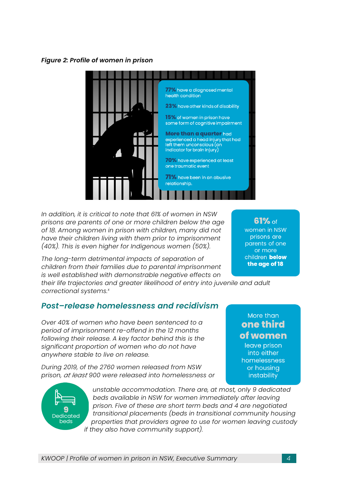*Figure 2: Profile of women in prison*



*In addition, it is critical to note that 61% of women in NSW prisons are parents of one or more children below the age of 18. Among women in prison with children, many did not have their children living with them prior to imprisonment (40%). This is even higher for Indigenous women (50%).* 

*The long-term detrimental impacts of separation of children from their families due to parental imprisonment is well established with demonstrable negative effects on* 

*their life trajectories and greater likelihood of entry into juvenile and adult correctional systems.x*

## *Post–release homelessness and recidivism*

*Over 40% of women who have been sentenced to a period of imprisonment re-offend in the 12 months following their release. A key factor behind this is the significant proportion of women who do not have anywhere stable to live on release.*

*During 2019, of the 2760 women released from NSW prison, at least 900 were released into homelessness or* 



*unstable accommodation. There are, at most, only 9 dedicated beds available in NSW for women immediately after leaving prison. Five of these are short term beds and 4 are negotiated transitional placements (beds in transitional community housing properties that providers agree to use for women leaving custody if they also have community support).*

61% of women in NSW prisons are parents of one or more children below the age of 18

More than one third

of women leave prison into either homelessness or housing instability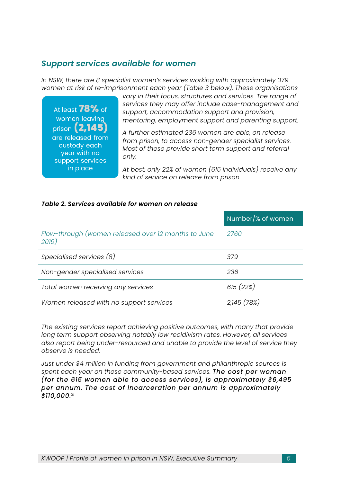## *Support services available for women*

*In NSW, there are 8 specialist women's services working with approximately 379 women at risk of re-imprisonment each year (Table 3 below). These organisations* 

At least  $78\%$  of women leaving prison (2,145) are released from custody each year with no support services in place

*vary in their focus, structures and services. The range of services they may offer include case-management and support, accommodation support and provision, mentoring, employment support and parenting support.*

*A further estimated 236 women are able, on release from prison, to access non-gender specialist services. Most of these provide short term support and referral only.*

*At best, only 22% of women (615 individuals) receive any kind of service on release from prison.* 

#### *Table 2. Services available for women on release*

|                                                              | Number/% of women |
|--------------------------------------------------------------|-------------------|
| Flow-through (women released over 12 months to June<br>2019) | 2760              |
| Specialised services (8)                                     | 379               |
| Non-gender specialised services                              | 236               |
| Total women receiving any services                           | 615(22%)          |
| Women released with no support services                      | 2,145 (78%)       |

*The existing services report achieving positive outcomes, with many that provide long term support observing notably low recidivism rates. However, all services also report being under-resourced and unable to provide the level of service they observe is needed.* 

*Just under \$4 million in funding from government and philanthropic sources is spent each year on these community-based services. The cost per woman (for the 615 women able to access services), is approximately \$6,495 per annum. The cost of incarceration per annum is approximately \$110,000. xi*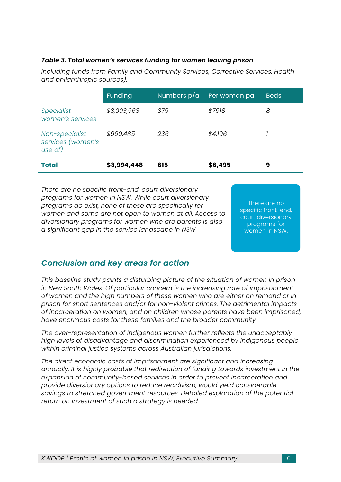#### *Table 3. Total women's services funding for women leaving prison*

*Including funds from Family and Community Services, Corrective Services, Health and philanthropic sources).*

|                                                | Funding     | Numbers $p/a$ | Per woman pa | <b>Beds</b> |
|------------------------------------------------|-------------|---------------|--------------|-------------|
| <b>Specialist</b><br>women's services          | \$3,003,963 | 379           | \$7918       | 8           |
| Non-specialist<br>services (women's<br>use of) | \$990,485   | 236           | \$4,196      |             |
| <b>Total</b>                                   | \$3,994,448 | 615           | \$6,495      | 9           |

*There are no specific front-end, court diversionary programs for women in NSW. While court diversionary programs do exist, none of these are specifically for women and some are not open to women at all. Access to diversionary programs for women who are parents is also a significant gap in the service landscape in NSW.*

There are no specific front-end, court diversionary programs for women in NSW.

## *Conclusion and key areas for action*

*This baseline study paints a disturbing picture of the situation of women in prison in New South Wales. Of particular concern is the increasing rate of imprisonment of women and the high numbers of these women who are either on remand or in prison for short sentences and/or for non-violent crimes. The detrimental impacts of incarceration on women, and on children whose parents have been imprisoned, have enormous costs for these families and the broader community.*

*The over-representation of Indigenous women further reflects the unacceptably high levels of disadvantage and discrimination experienced by Indigenous people within criminal justice systems across Australian jurisdictions.* 

*The direct economic costs of imprisonment are significant and increasing annually. It is highly probable that redirection of funding towards investment in the expansion of community-based services in order to prevent incarceration and provide diversionary options to reduce recidivism, would yield considerable savings to stretched government resources. Detailed exploration of the potential return on investment of such a strategy is needed.*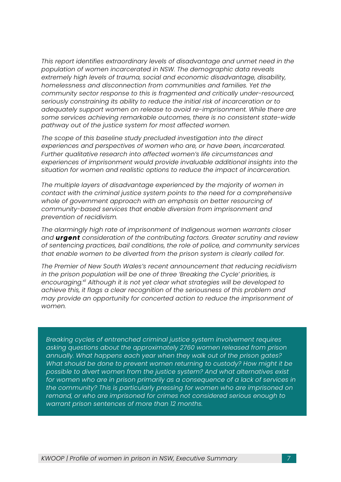*This report identifies extraordinary levels of disadvantage and unmet need in the population of women incarcerated in NSW. The demographic data reveals extremely high levels of trauma, social and economic disadvantage, disability, homelessness and disconnection from communities and families. Yet the community sector response to this is fragmented and critically under-resourced, seriously constraining its ability to reduce the initial risk of incarceration or to adequately support women on release to avoid re-imprisonment. While there are some services achieving remarkable outcomes, there is no consistent state-wide pathway out of the justice system for most affected women.* 

*The scope of this baseline study precluded investigation into the direct experiences and perspectives of women who are, or have been, incarcerated. Further qualitative research into affected women's life circumstances and experiences of imprisonment would provide invaluable additional insights into the situation for women and realistic options to reduce the impact of incarceration.*

*The multiple layers of disadvantage experienced by the majority of women in contact with the criminal justice system points to the need for a comprehensive whole of government approach with an emphasis on better resourcing of community-based services that enable diversion from imprisonment and prevention of recidivism.* 

*The alarmingly high rate of imprisonment of Indigenous women warrants closer and urgent consideration of the contributing factors. Greater scrutiny and review of sentencing practices, bail conditions, the role of police, and community services that enable women to be diverted from the prison system is clearly called for.*

*The Premier of New South Wales's recent announcement that reducing recidivism in the prison population will be one of three 'Breaking the Cycle' priorities, is encouraging.xii Although it is not yet clear what strategies will be developed to achieve this, it flags a clear recognition of the seriousness of this problem and may provide an opportunity for concerted action to reduce the imprisonment of women.* 

*Breaking cycles of entrenched criminal justice system involvement requires asking questions about the approximately 2760 women released from prison annually. What happens each year when they walk out of the prison gates? What should be done to prevent women returning to custody? How might it be possible to divert women from the justice system? And what alternatives exist for women who are in prison primarily as a consequence of a lack of services in the community? This is particularly pressing for women who are imprisoned on remand, or who are imprisoned for crimes not considered serious enough to warrant prison sentences of more than 12 months.*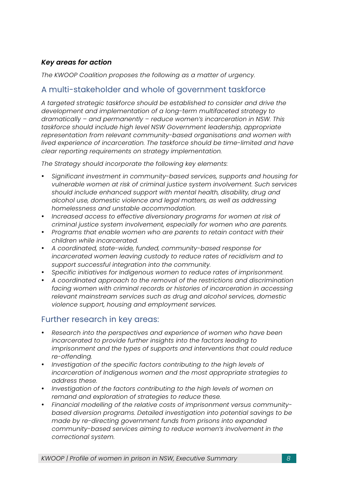### *Key areas for action*

*The KWOOP Coalition proposes the following as a matter of urgency.* 

## A multi-stakeholder and whole of government taskforce

*A targeted strategic taskforce should be established to consider and drive the development and implementation of a long-term multifaceted strategy to dramatically – and permanently – reduce women's incarceration in NSW. This taskforce should include high level NSW Government leadership, appropriate representation from relevant community-based organisations and women with lived experience of incarceration. The taskforce should be time-limited and have clear reporting requirements on strategy implementation.*

*The Strategy should incorporate the following key elements:*

- *Significant investment in community-based services, supports and housing for vulnerable women at risk of criminal justice system involvement. Such services should include enhanced support with mental health, disability, drug and alcohol use, domestic violence and legal matters, as well as addressing homelessness and unstable accommodation.*
- *Increased access to effective diversionary programs for women at risk of criminal justice system involvement, especially for women who are parents.*
- *Programs that enable women who are parents to retain contact with their children while incarcerated.*
- *A coordinated, state-wide, funded, community-based response for incarcerated women leaving custody to reduce rates of recidivism and to support successful integration into the community.*
- *Specific initiatives for Indigenous women to reduce rates of imprisonment.*
- *A coordinated approach to the removal of the restrictions and discrimination facing women with criminal records or histories of incarceration in accessing relevant mainstream services such as drug and alcohol services, domestic violence support, housing and employment services.*

## Further research in key areas:

- *Research into the perspectives and experience of women who have been incarcerated to provide further insights into the factors leading to imprisonment and the types of supports and interventions that could reduce re-offending.*
- *Investigation of the specific factors contributing to the high levels of incarceration of Indigenous women and the most appropriate strategies to address these.*
- *Investigation of the factors contributing to the high levels of women on remand and exploration of strategies to reduce these.*
- *Financial modelling of the relative costs of imprisonment versus communitybased diversion programs. Detailed investigation into potential savings to be made by re-directing government funds from prisons into expanded community-based services aiming to reduce women's involvement in the correctional system.*

*KWOOP | Profile of women in prison in NSW, Executive Summary 8*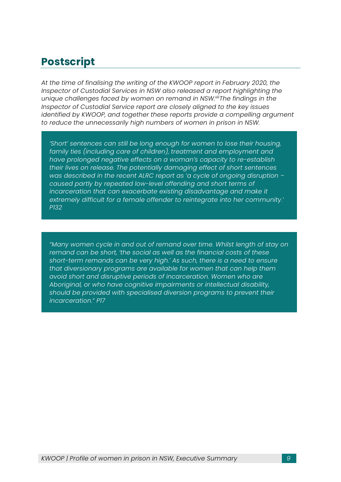# **Postscript**

*At the time of finalising the writing of the KWOOP report in February 2020, the Inspector of Custodial Services in NSW also released a report highlighting the unique challenges faced by women on remand in NSW.xiiiThe findings in the Inspector of Custodial Service report are closely aligned to the key issues identified by KWOOP, and together these reports provide a compelling argument to reduce the unnecessarily high numbers of women in prison in NSW.*

*'Short' sentences can still be long enough for women to lose their housing, family ties (including care of children), treatment and employment and have prolonged negative effects on a woman's capacity to re-establish their lives on release. The potentially damaging effect of short sentences was described in the recent ALRC report as 'a cycle of ongoing disruption – caused partly by repeated low-level offending and short terms of incarceration that can exacerbate existing disadvantage and make it extremely difficult for a female offender to reintegrate into her community.' P132*

*"Many women cycle in and out of remand over time. Whilst length of stay on remand can be short, 'the social as well as the financial costs of these short-term remands can be very high.' As such, there is a need to ensure that diversionary programs are available for women that can help them avoid short and disruptive periods of incarceration. Women who are Aboriginal, or who have cognitive impairments or intellectual disability, should be provided with specialised diversion programs to prevent their incarceration." P17*